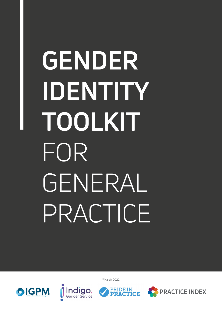# **GENDER IDENTITY TOOLKIT**  FOR GENERAL PRACTICE

OIGPM



©March 2022

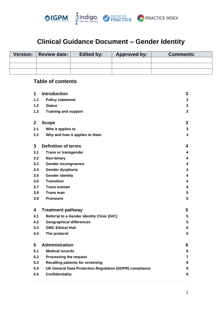

# **Clinical Guidance Document – Gender Identity**

| <b>Version:</b> | Review date: | <b>Edited by:</b> | <b>Approved by:</b> | <b>Comments:</b> |
|-----------------|--------------|-------------------|---------------------|------------------|
|                 |              |                   |                     |                  |
|                 |              |                   |                     |                  |
|                 |              |                   |                     |                  |

# **Table of contents**

| 1            | <b>Introduction</b>                                     | 3 |
|--------------|---------------------------------------------------------|---|
| 1.1          | <b>Policy statement</b>                                 | 3 |
| 1.2          | <b>Status</b>                                           | 3 |
| 1.3          | <b>Training and support</b>                             | 3 |
|              |                                                         |   |
| $\mathbf{2}$ | <b>Scope</b>                                            | 3 |
| 2.1          | Who it applies to                                       | 3 |
| 2.2          | Why and how it applies to them                          | 3 |
|              |                                                         |   |
| 3            | <b>Definition of terms</b>                              | 4 |
| 3.1          | <b>Trans or transgender</b>                             | 4 |
| 3.2          | Non-binary                                              | 4 |
| 3.3          | <b>Gender incongruence</b>                              | 4 |
| 3.4          | Gender dysphoria                                        | 4 |
| 3.5          | <b>Gender identity</b>                                  | 4 |
| 3.6          | <b>Transition</b>                                       | 4 |
| 3.7          | <b>Trans woman</b>                                      | 4 |
| 3.8          | <b>Trans man</b>                                        | 5 |
| 3.9          | <b>Pronouns</b>                                         | 5 |
| 4            | <b>Treatment pathway</b>                                | 5 |
| 4.1          | <b>Referral to a Gender Identity Clinic (GIC)</b>       | 5 |
| 4.2          | <b>Geographical differences</b>                         | 5 |
| 4.3          | <b>GMC Ethical Hub</b>                                  | 6 |
| 4.4          | The protocol                                            | 6 |
| 5            | <b>Administration</b>                                   |   |
|              |                                                         | 6 |
| 5.1          | <b>Medical records</b>                                  | 6 |
| 5.2          | <b>Processing the request</b>                           | 7 |
| 5.3          | <b>Recalling patients for screening</b>                 | 8 |
| 5.4          | UK General Data Protection Regulation (GDPR) compliance | 9 |
| 5.5          | Confidentiality                                         | 9 |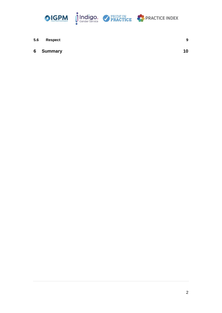





| 5.6 | Respect   | 9  |
|-----|-----------|----|
|     | 6 Summary | 10 |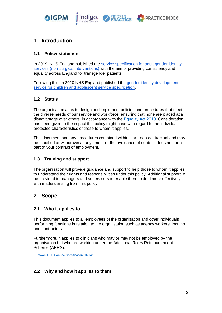

Indiao



# <span id="page-3-0"></span>**1 Introduction**

#### <span id="page-3-1"></span>**1.1 Policy statement**

In 2019, NHS England published the [service specification for adult gender identity](https://www.england.nhs.uk/publication/service-specification-gender-identity-services-for-adults-non-surgical-interventions/)  [services \(non-surgical interventions\)](https://www.england.nhs.uk/publication/service-specification-gender-identity-services-for-adults-non-surgical-interventions/) with the aim of providing consistency and equality across England for transgender patients.

Following this, in 2020 NHS England published the [gender identity development](https://www.england.nhs.uk/publication/gender-identity-development-service-for-children-and-adolescent-service-specification/)  [service for children and adolescent service specification.](https://www.england.nhs.uk/publication/gender-identity-development-service-for-children-and-adolescent-service-specification/)

#### <span id="page-3-2"></span>**1.2 Status**

The organisation aims to design and implement policies and procedures that meet the diverse needs of our service and workforce, ensuring that none are placed at a disadvantage over others, in accordance with the [Equality Act 2010.](https://www.legislation.gov.uk/ukpga/2010/15/contents) Consideration has been given to the impact this policy might have with regard to the individual protected characteristics of those to whom it applies.

This document and any procedures contained within it are non-contractual and may be modified or withdrawn at any time. For the avoidance of doubt, it does not form part of your contract of employment.

#### <span id="page-3-3"></span>**1.3 Training and support**

The organisation will provide guidance and support to help those to whom it applies to understand their rights and responsibilities under this policy. Additional support will be provided to managers and supervisors to enable them to deal more effectively with matters arising from this policy.

# <span id="page-3-4"></span>**2 Scope**

#### <span id="page-3-5"></span>**2.1 Who it applies to**

This document applies to all employees of the organisation and other individuals performing functions in relation to the organisation such as agency workers, locums and contractors.

Furthermore, it applies to clinicians who may or may not be employed by the organisation but who are working under the Additional Roles Reimbursement Scheme (ARRS).

<sup>1</sup> [Network DES Contract specification 2021/22](https://www.england.nhs.uk/publication/network-contract-des-specification-2021-22/)

#### <span id="page-3-6"></span>**2.2 Why and how it applies to them**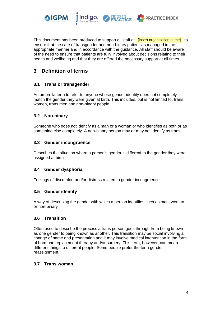

This document has been produced to support all staff at linsert organisation name] to ensure that the care of transgender and non-binary patients is managed in the appropriate manner and in accordance with the guidance. All staff should be aware of the need to ensure that patients are fully involved about decisions relating to their health and wellbeing and that they are offered the necessary support at all times.

# <span id="page-4-0"></span>**3 Definition of terms**

#### <span id="page-4-1"></span>**3.1 Trans or transgender**

An umbrella term to refer to anyone whose gender identity does not completely match the gender they were given at birth. This includes, but is not limited to, trans women, trans men and non-binary people.

#### <span id="page-4-2"></span>**3.2 Non-binary**

Someone who does not identify as a man or a woman or who identifies as both or as something else completely. A non-binary person may or may not identify as trans.

#### <span id="page-4-3"></span>**3.3 Gender incongruence**

Describes the situation where a person's gender is different to the gender they were assigned at birth

#### <span id="page-4-4"></span>**3.4 Gender dysphoria**

<span id="page-4-5"></span>Feelings of discomfort and/or distress related to gender incongruence

#### **3.5 Gender identity**

A way of describing the gender with which a person identifies such as man, woman or non-binary

#### <span id="page-4-6"></span>**3.6 Transition**

Often used to describe the process a trans person goes through from being known as one gender to being known as another. This transition may be social involving a change of name and presentation and it may involve medical intervention in the form of hormone replacement therapy and/or surgery. This term, however, can mean different things to different people. Some people prefer the term gender reassignment.

#### <span id="page-4-7"></span>**3.7 Trans woman**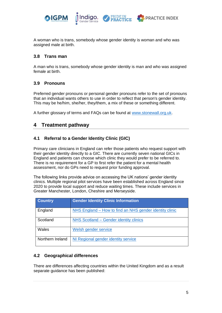

A woman who is trans, somebody whose gender identity is woman and who was assigned male at birth.

#### <span id="page-5-0"></span>**3.8 Trans man**

A man who is trans, somebody whose gender identity is man and who was assigned female at birth.

#### <span id="page-5-1"></span>**3.9 Pronouns**

Preferred gender pronouns or personal gender pronouns refer to the set of pronouns that an individual wants others to use in order to reflect that person's gender identity. This may be he/him, she/her, they/them, a mix of these or something different.

<span id="page-5-2"></span>A further glossary of terms and FAQs can be found at [www.stonewall.org.uk.](http://www.stonewall.org.uk/)

# **4 Treatment pathway**

#### <span id="page-5-3"></span>**4.1 Referral to a Gender Identity Clinic (GIC)**

Primary care clinicians in England can refer those patients who request support with their gender identity directly to a GIC. There are currently seven national GICs in England and patients can choose which clinic they would prefer to be referred to. There is no requirement for a GP to first refer the patient for a mental health assessment, nor do GPs need to request prior funding approval.

The following links provide advice on accessing the UK nations' gender identity clinics. Multiple regional pilot services have been established across England since 2020 to provide local support and reduce waiting times. These include services in Greater Manchester, London, Cheshire and Merseyside.

| <b>Country</b>   | <b>Gender Identity Clinic Information</b>               |
|------------------|---------------------------------------------------------|
| England          | NHS England – How to find an NHS gender identity clinic |
| Scotland         | NHS Scotland – Gender identity clinics                  |
| Wales            | Welsh gender service                                    |
| Northern Ireland | NI Regional gender identity service                     |

#### <span id="page-5-4"></span>**4.2 Geographical differences**

There are differences affecting countries within the United Kingdom and as a result separate guidance has been published: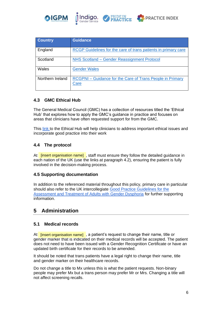

| <b>Country</b>   | <b>Guidance</b>                                                                 |
|------------------|---------------------------------------------------------------------------------|
| England          | RCGP Guidelines for the care of trans patients in primary care                  |
| Scotland         | NHS Scotland - Gender Reassignment Protocol                                     |
| Wales            | <b>Gender Wales</b>                                                             |
| Northern Ireland | <b>RCGPNI</b> – Guidance for the Care of Trans People in Primary<br><b>Care</b> |

#### <span id="page-6-0"></span>**4.3 GMC Ethical Hub**

The General Medical Council (GMC) has a collection of resources titled the 'Ethical Hub' that explores how to apply the GMC's guidance in practice and focuses on areas that clinicians have often requested support for from the GMC.

This [link t](https://www.gmc-uk.org/ethical-guidance/ethical-hub/trans-healthcare)o the Ethical Hub will help clinicians to address important ethical issues and incorporate good practice into their work

#### <span id="page-6-1"></span>**4.4 The protocol**

At linsert organisation name], staff must ensure they follow the detailed guidance in each nation of the UK (use the links at paragraph 4.2), ensuring the patient is fully involved in the decision-making process.

#### **4.5 Supporting documentation**

In addition to the referenced material throughout this policy, primary care in particular should also refer to the UK intercollegiate [Good Practice Guidelines for the](https://www.rcpsych.ac.uk/docs/default-source/improving-care/better-mh-policy/college-reports/cr181-good-practice-guidelines-for-the-assessment-and-treatment-of-adults-with-gender-dysphoria.pdf?sfvrsn=84743f94_4)  [Assessment and Treatment of Adults with Gender Dysphoria](https://www.rcpsych.ac.uk/docs/default-source/improving-care/better-mh-policy/college-reports/cr181-good-practice-guidelines-for-the-assessment-and-treatment-of-adults-with-gender-dysphoria.pdf?sfvrsn=84743f94_4) for further supporting information.

## <span id="page-6-2"></span>**5 Administration**

#### <span id="page-6-3"></span>**5.1 Medical records**

At <mark>[insert organisation name]</mark>,a patient's request to change their name, title or gender marker that is indicated on their medical records will be accepted. The patient does not need to have been issued with a Gender Recognition Certificate or have an updated birth certificate for their records to be amended.

It should be noted that trans patients have a legal right to change their name, title and gender marker on their healthcare records.

Do not change a title to Mx unless this is what the patient requests. Non-binary people may prefer Mx but a trans person may prefer Mr or Mrs. Changing a title will not affect screening recalls.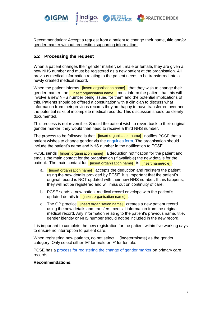

Recommendation: Accept a request from a patient to change their name, title and/or gender marker without requesting supporting information.

**PRACTICE INDEX** 

**Indigo** 

#### <span id="page-7-0"></span>**5.2 Processing the request**

When a patient changes their gender marker, i.e., male or female, they are given a new NHS number and must be registered as a new patient at the organisation. All previous medical information relating to the patient needs to be transferred into a newly created medical record.

When the patient informs **[insert organisation name]** that they wish to change their gender marker, the linsert organisation name] must inform the patient that this will involve a new NHS number being issued for them and the potential implications of this. Patients should be offered a consultation with a clinician to discuss what information from their previous records they are happy to have transferred over and the potential risks of incomplete medical records. This discussion should be clearly documented.

This process is not reversible. Should the patient wish to revert back to their original gender marker, they would then need to receive a third NHS number.

The process to be followed is that **[insert organisation name]** notifies PCSE that a patient wishes to change gender via the [enquiries form](https://pcse.england.nhs.uk/contact-us/). The organisation should include the patient's name and NHS number in the notification to PCSE.

PCSE sends **[insert organisation name]** a deduction notification for the patient and emails the main contact for the organisation (if available) the new details for the patient. The main contact for **[insert organisation name]** is **[insert name/role]**.

- ent. The main contact for <sub>[</sub>insert organisation name] □s [insert name/role] <sub>·</sub><br>a. [insert organisation name] accepts the deduction and registers the patient using the new details provided by PCSE. It is important that the patient's original record is NOT updated with their new NHS number. If this happens, they will not be registered and will miss out on continuity of care.
- b. PCSE sends a new patient medical record envelope with the patient's updated details to **[insert organisation name]**.
- c. The GP practice linsert organisation name] creates a new patient record using the new details and transfers medical information from the original medical record. Any information relating to the patient's previous name, title, gender identity or NHS number should not be included in the new record.

It is important to complete the new registration for the patient within five working days to ensure no interruption to patient care.

When registering new patients, do not select 'I' (indeterminate) as the gender category. Only select either 'M' for male or 'F' for female.

PCSE has a [process for registering the change of gender marker](https://pcse.england.nhs.uk/media/2892/process-for-registering-a-patient-gender-re-assignmentv10.pdf) on primary care records.

#### **Recommendations:**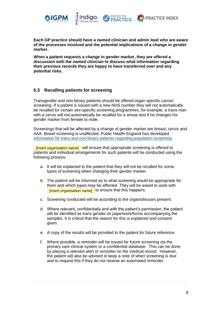





**Each GP practice should have a named clinician and admin lead who are aware of the processes involved and the potential implications of a change in gender marker.** 

**When a patient requests a change in gender marker, they are offered a discussion with the named clinician to discuss what information regarding their previous records they are happy to have transferred over and any potential risks.** 

#### <span id="page-8-0"></span>**5.3 Recalling patients for screening**

Transgender and non-binary patients should be offered organ specific cancer screening. If a patient is issued with a new NHS number they will not automatically be recalled for certain sex-specific screening programmes, for example, a trans man with a cervix will not automatically be recalled for a smear test if he changes his gender marker from female to male.

Screenings that will be affected by a change of gender marker are breast, cervix and AAA. Bowel screening is unaffected. Public Health England has developed [information for trans and non-binary patients regarding population screening.](https://www.gov.uk/government/publications/nhs-population-screening-information-for-transgender-people/nhs-population-screening-information-for-trans-people)

[insert organisation name] will ensure that appropriate screening is offered to patients and individual arrangements for such patients will be conducted using the following process:

- a. It will be explained to the patient that they will not be recalled for some types of screening when changing their gender marker.
- b. The patient will be informed as to what screening would be appropriate for them and which types may be affected. They will be asked to work with [insert organisation name] to ensure that this happens.
- c. Screening conducted will be according to the organs/tissues present.
- d. Where relevant, confidentially and with the patient's permission, the patient will be identified as trans gender on paperwork/forms accompanying the samples. It is critical that the reason for this is explained and consent given.
- e. A copy of the results will be provided to the patient for future reference.
- f. Where possible, a reminder will be issued for future screening via the primary care clinical system or a confidential database. This can be done by placing a relevant alert or reminder on the medical record. However, the patient will also be advised to keep a note of when screening is due and to request this if they do not receive an automated reminder.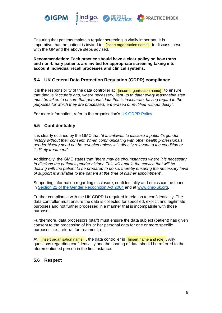

Ensuring that patients maintain regular screening is vitally important. It is imperative that the patient is invited to linsert organisation name] to discuss these with the GP and the above steps advised.

**PRACTICE INDEX** 

**Recommendation: Each practice should have a clear policy on how trans and non-binary patients are invited for appropriate screening taking into account individual recall processes and clinical systems.** 

#### <span id="page-9-0"></span>**5.4 UK General Data Protection Regulation (GDPR) compliance**

It is the responsibility of the data controller at linsert organisation name] to ensure that data is *"accurate and, where necessary, kept up to date; every reasonable step must be taken to ensure that personal data that is inaccurate, having regard to the purposes for which they are processed, are erased or rectified without delay".* 

<span id="page-9-1"></span>For more information, refer to the organisation's [UK GDPR Policy.](https://practiceindex.co.uk/gp/forum/resources/uk-gdpr-policy.1703/)

#### **5.5 Confidentiality**

It is clearly outlined by the GMC that *"it is unlawful to disclose a patient's gender history without their consent. When communicating with other health professionals, gender history need not be revealed unless it is directly relevant to the condition or its likely treatment*".

Additionally, the GMC states that "*there may be circumstances where it is necessary to disclose the patient's gender history. This will enable the service that will be dealing with the patient to be prepared to do so, thereby ensuring the necessary level of support is available to the patient at the time of his/her appointment*".

Supporting information regarding disclosure, confidentiality and ethics can be found in [Section 22 of the Gender Recognition Act 2004](http://www.legislation.gov.uk/ukpga/2004/7/section/22/data.pdf) and at [www.gmc-uk.org.](https://www.gmc-uk.org/ethical-guidance/ethical-hub/trans-healthcare#confidentiality-and-equality)

Further compliance with the UK GDPR is required in relation to confidentiality. The data controller must ensure the data is collected for specified, explicit and legitimate purposes and not further processed in a manner that is incompatible with those purposes.

Furthermore, data processors (staff) must ensure the data subject (patient) has given consent to the processing of his or her personal data for one or more specific purposes, i.e., referral for treatment, etc.

At **[insert organisation name]**, the data controller is **[insert name and role]**. Any questions regarding confidentiality and the sharing of data should be referred to the aforementioned person in the first instance.

#### <span id="page-9-2"></span>**5.6 Respect**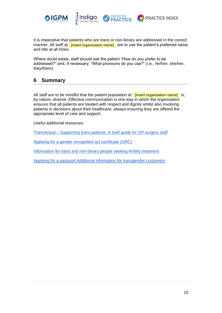

It is imperative that patients who are trans or non-binary are addressed in the correct manner. All staff at **[insert organisation name]** are to use the patient's preferred name and title at all times.

Where doubt exists, staff should ask the patient "How do you prefer to be addressed?" and, if necessary, "What pronouns do you use?" (i.e., he/him, she/her, they/them).

## <span id="page-10-0"></span>**6 Summary**

All staff are to be mindful that the patient population at **[insert organisation name]** is, by nature, diverse. Effective communication is one way in which the organisation ensures that all patients are treated with respect and dignity whilst also involving patients in decisions about their healthcare, always ensuring they are offered the appropriate level of care and support.

Useful additional resources:

TransActual – [Supporting trans patients: A brief guide for GP surgery staff](https://www.transactual.org.uk/gp-surgery-trans)

[Applying for a gender recognition act certificate \(GRC\)](https://www.gov.uk/apply-gender-recognition-certificate)

[Information for trans and non-binary people seeking fertility treatment](https://www.hfea.gov.uk/treatments/fertility-preservation/information-for-trans-and-non-binary-people-seeking-fertility-treatment/)

[Applying for a passport Additional information for transgender customers](https://assets.publishing.service.gov.uk/government/uploads/system/uploads/attachment_data/file/251703/Applying_for_a_passport_additional_information.PDF)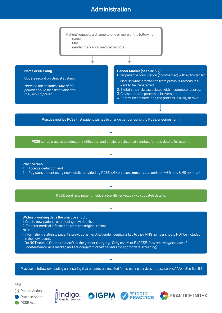# **Administration**



◯ Patient Action Practice Action PCSE Action